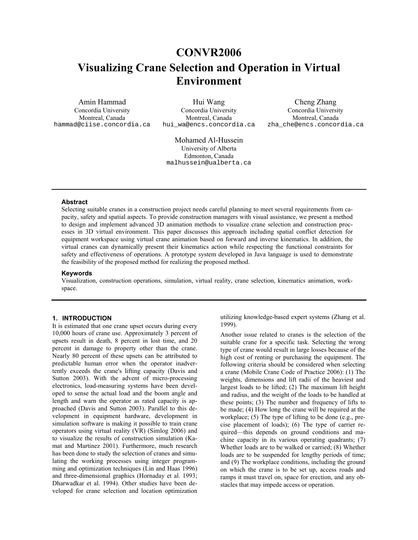## **CONVR2006**

# **Visualizing Crane Selection and Operation in Virtual Environment**

Amin Hammad Concordia University Montreal, Canada hammad@ciise.concordia.ca

Hui Wang Concordia University Montreal, Canada hui\_wa@encs.concordia.ca

Cheng Zhang Concordia University Montreal, Canada zha\_che@encs.concordia.ca

 Mohamed Al-Hussein University of Alberta Edmonton, Canada malhussein@ualberta.ca

#### **Abstract**

Selecting suitable cranes in a construction project needs careful planning to meet several requirements from capacity, safety and spatial aspects. To provide construction managers with visual assistance, we present a method to design and implement advanced 3D animation methods to visualize crane selection and construction processes in 3D virtual environment. This paper discusses this approach including spatial conflict detection for equipment workspace using virtual crane animation based on forward and inverse kinematics. In addition, the virtual cranes can dynamically present their kinematics action while respecting the functional constraints for safety and effectiveness of operations. A prototype system developed in Java language is used to demonstrate the feasibility of the proposed method for realizing the proposed method.

#### **Keywords**

Visualization, construction operations, simulation, virtual reality, crane selection, kinematics animation, workspace.

#### **1. INTRODUCTION**

It is estimated that one crane upset occurs during every 10,000 hours of crane use. Approximately 3 percent of upsets result in death, 8 percent in lost time, and 20 percent in damage to property other than the crane. Nearly 80 percent of these upsets can be attributed to predictable human error when the operator inadvertently exceeds the crane's lifting capacity (Davis and Sutton 2003). With the advent of micro-processing electronics, load-measuring systems have been developed to sense the actual load and the boom angle and length and warn the operator as rated capacity is approached (Davis and Sutton 2003). Parallel to this development in equipment hardware, development in simulation software is making it possible to train crane operators using virtual reality (VR) (Simlog 2006) and to visualize the results of construction simulation (Kamat and Martinez 2001). Furthermore, much research has been done to study the selection of cranes and simulating the working processes using integer programming and optimization techniques (Lin and Haas 1996) and three-dimensional graphics (Hornaday et al. 1993; Dharwadkar et al. 1994). Other studies have been developed for crane selection and location optimization utilizing knowledge-based expert systems (Zhang et al. 1999).

Another issue related to cranes is the selection of the suitable crane for a specific task. Selecting the wrong type of crane would result in large losses because of the high cost of renting or purchasing the equipment. The following criteria should be considered when selecting a crane (Mobile Crane Code of Practice 2006): (1) The weights, dimensions and lift radii of the heaviest and largest loads to be lifted; (2) The maximum lift height and radius, and the weight of the loads to be handled at these points; (3) The number and frequency of lifts to be made; (4) How long the crane will be required at the workplace; (5) The type of lifting to be done (e.g., precise placement of loads); (6) The type of carrier required—this depends on ground conditions and machine capacity in its various operating quadrants; (7) Whether loads are to be walked or carried; (8) Whether loads are to be suspended for lengthy periods of time; and (9) The workplace conditions, including the ground on which the crane is to be set up, access roads and ramps it must travel on, space for erection, and any obstacles that may impede access or operation.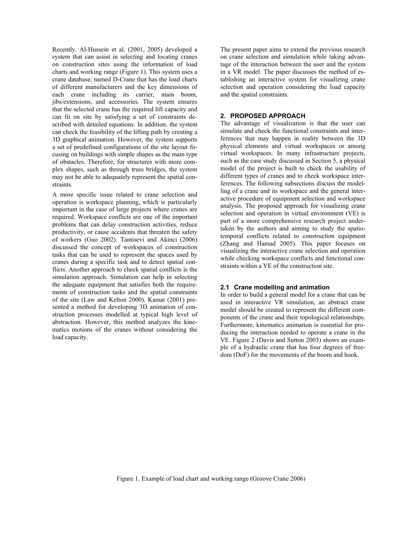Recently, Al-Hussein et al. (2001, 2005) developed a system that can assist in selecting and locating cranes on construction sites using the information of load charts and working range (Figure 1). This system uses a crane database, named D-Crane that has the load charts of different manufacturers and the key dimensions of each crane including its carrier, main boom, jibs/extensions, and accessories. The system ensures that the selected crane has the required lift capacity and can fit on site by satisfying a set of constraints described with detailed equations. In addition, the system can check the feasibility of the lifting path by creating a 3D graphical animation. However, the system supports a set of predefined configurations of the site layout focusing on buildings with simple shapes as the main type of obstacles. Therefore, for structures with more complex shapes, such as through truss bridges, the system may not be able to adequately represent the spatial constraints.

A more specific issue related to crane selection and operation is workspace planning, which is particularly important in the case of large projects where cranes are required. Workspace conflicts are one of the important problems that can delay construction activities, reduce productivity, or cause accidents that threaten the safety of workers (Guo 2002). Tantisevi and Akinci (2006) discussed the concept of workspaces of construction tasks that can be used to represent the spaces used by cranes during a specific task and to detect spatial conflicts. Another approach to check spatial conflicts is the simulation approach. Simulation can help in selecting the adequate equipment that satisfies both the requirements of construction tasks and the spatial constraints of the site (Law and Kelton 2000). Kamat (2001) presented a method for developing 3D animation of construction processes modelled at typical high level of abstraction. However, this method analyzes the kinematics motions of the cranes without considering the load capacity.

The present paper aims to extend the previous research on crane selection and simulation while taking advantage of the interaction between the user and the system in a VR model. The paper discusses the method of establishing an interactive system for visualizing crane selection and operation considering the load capacity and the spatial constraints.

#### **2. PROPOSED APPROACH**

The advantage of visualization is that the user can simulate and check the functional constraints and interferences that may happen in reality between the 3D physical elements and virtual workspaces or among virtual workspaces. In many infrastructure projects, such as the case study discussed in Section 5, a physical model of the project is built to check the usability of different types of cranes and to check workspace interferences. The following subsections discuss the modelling of a crane and its workspace and the general interactive procedure of equipment selection and workspace analysis. The proposed approach for visualizing crane selection and operation in virtual environment (VE) is part of a more comprehensive research project undertaken by the authors and aiming to study the spatiotemporal conflicts related to construction equipment (Zhang and Hamad 2005). This paper focuses on visualizing the interactive crane selection and operation while checking workspace conflicts and functional constraints within a VE of the construction site.

#### **2.1 Crane modelling and animation**

In order to build a general model for a crane that can be used in interactive VR simulation, an abstract crane model should be created to represent the different components of the crane and their topological relationships. Furthermore, kinematics animation is essential for producing the interaction needed to operate a crane in the VE. Figure 2 (Davis and Sutton 2003) shows an example of a hydraulic crane that has four degrees of freedom (DoF) for the movements of the boom and hook.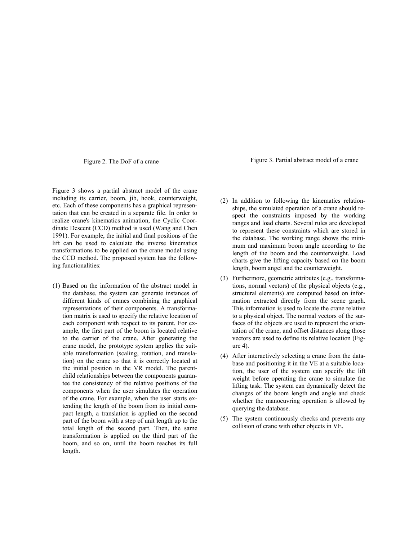Figure 3 shows a partial abstract model of the crane including its carrier, boom, jib, hook, counterweight, etc. Each of these components has a graphical representation that can be created in a separate file. In order to realize crane's kinematics animation, the Cyclic Coordinate Descent (CCD) method is used (Wang and Chen 1991). For example, the initial and final positions of the lift can be used to calculate the inverse kinematics transformations to be applied on the crane model using the CCD method. The proposed system has the following functionalities:

(1) Based on the information of the abstract model in the database, the system can generate instances of different kinds of cranes combining the graphical representations of their components. A transformation matrix is used to specify the relative location of each component with respect to its parent. For example, the first part of the boom is located relative to the carrier of the crane. After generating the crane model, the prototype system applies the suitable transformation (scaling, rotation, and translation) on the crane so that it is correctly located at the initial position in the VR model. The parentchild relationships between the components guarantee the consistency of the relative positions of the components when the user simulates the operation of the crane. For example, when the user starts extending the length of the boom from its initial compact length, a translation is applied on the second part of the boom with a step of unit length up to the total length of the second part. Then, the same transformation is applied on the third part of the boom, and so on, until the boom reaches its full length.

Figure 2. The DoF of a crane Figure 3. Partial abstract model of a crane

- (2) In addition to following the kinematics relationships, the simulated operation of a crane should respect the constraints imposed by the working ranges and load charts. Several rules are developed to represent these constraints which are stored in the database. The working range shows the minimum and maximum boom angle according to the length of the boom and the counterweight. Load charts give the lifting capacity based on the boom length, boom angel and the counterweight.
- (3) Furthermore, geometric attributes (e.g., transformations, normal vectors) of the physical objects (e.g., structural elements) are computed based on information extracted directly from the scene graph. This information is used to locate the crane relative to a physical object. The normal vectors of the surfaces of the objects are used to represent the orientation of the crane, and offset distances along those vectors are used to define its relative location (Figure 4).
- (4) After interactively selecting a crane from the database and positioning it in the VE at a suitable location, the user of the system can specify the lift weight before operating the crane to simulate the lifting task. The system can dynamically detect the changes of the boom length and angle and check whether the manoeuvring operation is allowed by querying the database.
- (5) The system continuously checks and prevents any collision of crane with other objects in VE.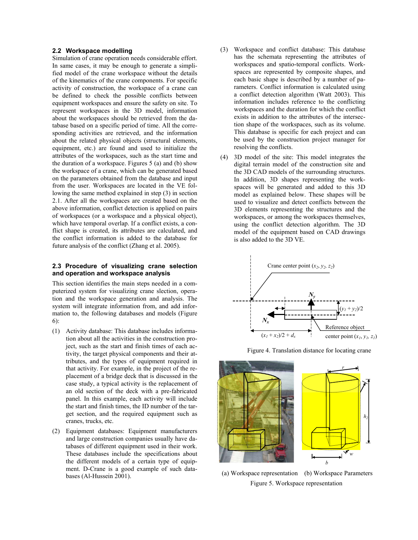#### **2.2 Workspace modelling**

Simulation of crane operation needs considerable effort. In same cases, it may be enough to generate a simplified model of the crane workspace without the details of the kinematics of the crane components. For specific activity of construction, the workspace of a crane can be defined to check the possible conflicts between equipment workspaces and ensure the safety on site. To represent workspaces in the 3D model, information about the workspaces should be retrieved from the database based on a specific period of time. All the corresponding activities are retrieved, and the information about the related physical objects (structural elements, equipment, etc.) are found and used to initialize the attributes of the workspaces, such as the start time and the duration of a workspace. Figures 5 (a) and (b) show the workspace of a crane, which can be generated based on the parameters obtained from the database and input from the user. Workspaces are located in the VE following the same method explained in step (3) in section 2.1. After all the workspaces are created based on the above information, conflict detection is applied on pairs of workspaces (or a workspace and a physical object), which have temporal overlap. If a conflict exists, a conflict shape is created, its attributes are calculated, and the conflict information is added to the database for future analysis of the conflict (Zhang et al. 2005).

#### **2.3 Procedure of visualizing crane selection and operation and workspace analysis**

This section identifies the main steps needed in a computerized system for visualizing crane slection, operation and the workspace generation and analysis. The system will integrate information from, and add information to, the following databases and models (Figure 6):

- (1) Activity database: This database includes information about all the activities in the construction project, such as the start and finish times of each activity, the target physical components and their attributes, and the types of equipment required in that activity. For example, in the project of the replacement of a bridge deck that is discussed in the case study, a typical activity is the replacement of an old section of the deck with a pre-fabricated panel. In this example, each activity will include the start and finish times, the ID number of the target section, and the required equipment such as cranes, trucks, etc.
- (2) Equipment databases: Equipment manufacturers and large construction companies usually have databases of different equipment used in their work. These databases include the specifications about the different models of a certain type of equipment. D-Crane is a good example of such databases (Al-Hussein 2001).
- (3) Workspace and conflict database: This database has the schemata representing the attributes of workspaces and spatio-temporal conflicts. Workspaces are represented by composite shapes, and each basic shape is described by a number of parameters. Conflict information is calculated using a conflict detection algorithm (Watt 2003). This information includes reference to the conflicting workspaces and the duration for which the conflict exists in addition to the attributes of the intersection shape of the workspaces, such as its volume. This database is specific for each project and can be used by the construction project manager for resolving the conflicts.
- (4) 3D model of the site: This model integrates the digital terrain model of the construction site and the 3D CAD models of the surrounding structures. In addition, 3D shapes representing the workspaces will be generated and added to this 3D model as explained below. These shapes will be used to visualize and detect conflicts between the 3D elements representing the structures and the workspaces, or among the workspaces themselves, using the conflict detection algorithm. The 3D model of the equipment based on CAD drawings is also added to the 3D VE.



Figure 4. Translation distance for locating crane



 (a) Workspace representation (b) Workspace Parameters Figure 5. Workspace representation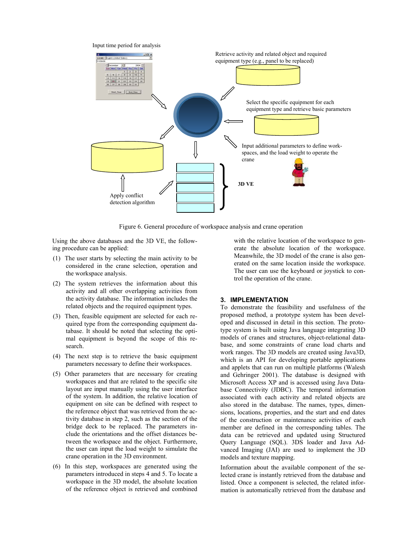

Figure 6. General procedure of workspace analysis and crane operation

Using the above databases and the 3D VE, the following procedure can be applied:

- (1) The user starts by selecting the main activity to be considered in the crane selection, operation and the workspace analysis.
- (2) The system retrieves the information about this activity and all other overlapping activities from the activity database. The information includes the related objects and the required equipment types.
- (3) Then, feasible equipment are selected for each required type from the corresponding equipment database. It should be noted that selecting the optimal equipment is beyond the scope of this research.
- (4) The next step is to retrieve the basic equipment parameters necessary to define their workspaces.
- (5) Other parameters that are necessary for creating workspaces and that are related to the specific site layout are input manually using the user interface of the system. In addition, the relative location of equipment on site can be defined with respect to the reference object that was retrieved from the activity database in step 2, such as the section of the bridge deck to be replaced. The parameters include the orientations and the offset distances between the workspace and the object. Furthermore, the user can input the load weight to simulate the crane operation in the 3D environment.
- (6) In this step, workspaces are generated using the parameters introduced in steps 4 and 5. To locate a workspace in the 3D model, the absolute location of the reference object is retrieved and combined

with the relative location of the workspace to generate the absolute location of the workspace. Meanwhile, the 3D model of the crane is also generated on the same location inside the workspace. The user can use the keyboard or joystick to control the operation of the crane.

#### **3. IMPLEMENTATION**

To demonstrate the feasibility and usefulness of the proposed method, a prototype system has been developed and discussed in detail in this section. The prototype system is built using Java language integrating 3D models of cranes and structures, object-relational database, and some constraints of crane load charts and work ranges. The 3D models are created using Java3D, which is an API for developing portable applications and applets that can run on multiple platforms (Walesh and Gehringer 2001). The database is designed with Microsoft Access XP and is accessed using Java Database Connectivity (JDBC). The temporal information associated with each activity and related objects are also stored in the database. The names, types, dimensions, locations, properties, and the start and end dates of the construction or maintenance activities of each member are defined in the corresponding tables. The data can be retrieved and updated using Structured Query Language (SQL). 3DS loader and Java Advanced Imaging (JAI) are used to implement the 3D models and texture mapping.

Information about the available component of the selected crane is instantly retrieved from the database and listed. Once a component is selected, the related information is automatically retrieved from the database and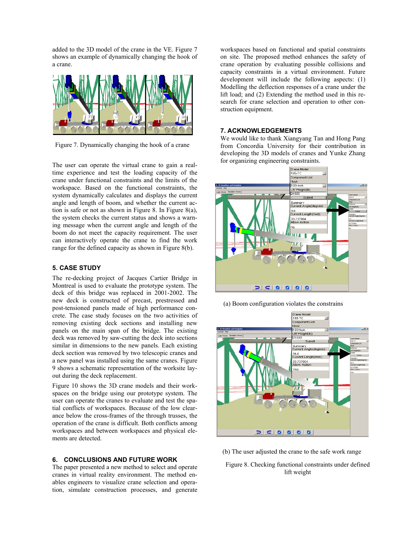added to the 3D model of the crane in the VE. Figure 7 shows an example of dynamically changing the hook of a crane.



Figure 7. Dynamically changing the hook of a crane

The user can operate the virtual crane to gain a realtime experience and test the loading capacity of the crane under functional constraints and the limits of the workspace. Based on the functional constraints, the system dynamically calculates and displays the current angle and length of boom, and whether the current action is safe or not as shown in Figure 8. In Figure 8(a), the system checks the current status and shows a warning message when the current angle and length of the boom do not meet the capacity requirement. The user can interactively operate the crane to find the work range for the defined capacity as shown in Figure 8(b).

### **5. CASE STUDY**

The re-decking project of Jacques Cartier Bridge in Montreal is used to evaluate the prototype system. The deck of this bridge was replaced in 2001-2002. The new deck is constructed of precast, prestressed and post-tensioned panels made of high performance concrete. The case study focuses on the two activities of removing existing deck sections and installing new panels on the main span of the bridge. The existing deck was removed by saw-cutting the deck into sections similar in dimensions to the new panels. Each existing deck section was removed by two telescopic cranes and a new panel was installed using the same cranes. Figure 9 shows a schematic representation of the worksite layout during the deck replacement.

Figure 10 shows the 3D crane models and their workspaces on the bridge using our prototype system. The user can operate the cranes to evaluate and test the spatial conflicts of workspaces. Because of the low clearance below the cross-frames of the through trusses, the operation of the crane is difficult. Both conflicts among workspaces and between workspaces and physical elements are detected.

#### **6. CONCLUSIONS AND FUTURE WORK**

The paper presented a new method to select and operate cranes in virtual reality environment. The method enables engineers to visualize crane selection and operation, simulate construction processes, and generate workspaces based on functional and spatial constraints on site. The proposed method enhances the safety of crane operation by evaluating possible collisions and capacity constraints in a virtual environment. Future development will include the following aspects: (1) Modelling the deflection responses of a crane under the lift load; and (2) Extending the method used in this research for crane selection and operation to other construction equipment.

#### **7. ACKNOWLEDGEMENTS**

We would like to thank Xiangyang Tan and Hong Pang from Concordia University for their contribution in developing the 3D models of cranes and Yunke Zhang for organizing engineering constraints.



(a) Boom configuration violates the constrains



(b) The user adjusted the crane to the safe work range

Figure 8. Checking functional constraints under defined lift weight